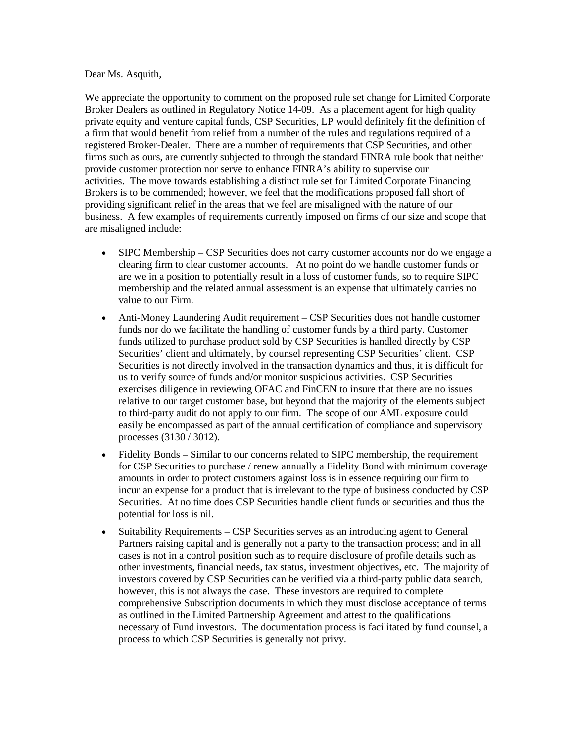## Dear Ms. Asquith,

We appreciate the opportunity to comment on the proposed rule set change for Limited Corporate Broker Dealers as outlined in Regulatory Notice 14-09. As a placement agent for high quality private equity and venture capital funds, CSP Securities, LP would definitely fit the definition of a firm that would benefit from relief from a number of the rules and regulations required of a registered Broker-Dealer. There are a number of requirements that CSP Securities, and other firms such as ours, are currently subjected to through the standard FINRA rule book that neither provide customer protection nor serve to enhance FINRA's ability to supervise our activities. The move towards establishing a distinct rule set for Limited Corporate Financing Brokers is to be commended; however, we feel that the modifications proposed fall short of providing significant relief in the areas that we feel are misaligned with the nature of our business. A few examples of requirements currently imposed on firms of our size and scope that are misaligned include:

- SIPC Membership CSP Securities does not carry customer accounts nor do we engage a clearing firm to clear customer accounts. At no point do we handle customer funds or are we in a position to potentially result in a loss of customer funds, so to require SIPC membership and the related annual assessment is an expense that ultimately carries no value to our Firm.
- Anti-Money Laundering Audit requirement CSP Securities does not handle customer funds nor do we facilitate the handling of customer funds by a third party. Customer funds utilized to purchase product sold by CSP Securities is handled directly by CSP Securities' client and ultimately, by counsel representing CSP Securities' client. CSP Securities is not directly involved in the transaction dynamics and thus, it is difficult for us to verify source of funds and/or monitor suspicious activities. CSP Securities exercises diligence in reviewing OFAC and FinCEN to insure that there are no issues relative to our target customer base, but beyond that the majority of the elements subject to third-party audit do not apply to our firm. The scope of our AML exposure could easily be encompassed as part of the annual certification of compliance and supervisory processes (3130 / 3012).
- Fidelity Bonds Similar to our concerns related to SIPC membership, the requirement for CSP Securities to purchase / renew annually a Fidelity Bond with minimum coverage amounts in order to protect customers against loss is in essence requiring our firm to incur an expense for a product that is irrelevant to the type of business conducted by CSP Securities. At no time does CSP Securities handle client funds or securities and thus the potential for loss is nil.
- Suitability Requirements CSP Securities serves as an introducing agent to General Partners raising capital and is generally not a party to the transaction process; and in all cases is not in a control position such as to require disclosure of profile details such as other investments, financial needs, tax status, investment objectives, etc. The majority of investors covered by CSP Securities can be verified via a third-party public data search, however, this is not always the case. These investors are required to complete comprehensive Subscription documents in which they must disclose acceptance of terms as outlined in the Limited Partnership Agreement and attest to the qualifications necessary of Fund investors. The documentation process is facilitated by fund counsel, a process to which CSP Securities is generally not privy.